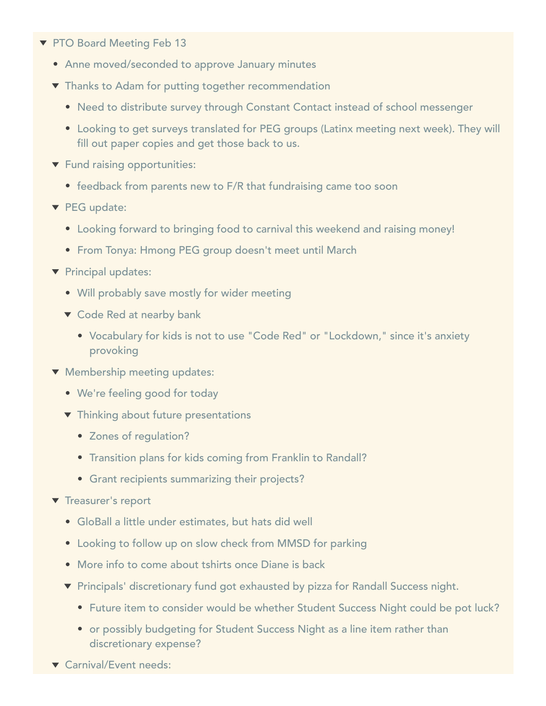- ▼ PTO Board Meeting Feb 13
	- Anne moved/seconded to approve January minutes
	- Thanks to Adam for putting together recommendation
		- Need to distribute survey through Constant Contact instead of school messenger
		- Looking to get surveys translated for PEG groups (Latinx meeting next week). They will fill out paper copies and get those back to us.
	- **Fund raising opportunities:** 
		- feedback from parents new to F/R that fundraising came too soon
	- PEG update:
		- Looking forward to bringing food to carnival this weekend and raising money!
		- From Tonya: Hmong PEG group doesn't meet until March
	- Principal updates:
		- Will probably save mostly for wider meeting
		- ▼ Code Red at nearby bank
			- Vocabulary for kids is not to use "Code Red" or "Lockdown," since it's anxiety provoking
	- **Wembership meeting updates:** 
		- We're feeling good for today
		- $\blacktriangledown$  Thinking about future presentations
			- Zones of regulation?
			- Transition plans for kids coming from Franklin to Randall?
			- Grant recipients summarizing their projects?
	- $\blacktriangledown$  Treasurer's report
		- GloBall a little under estimates, but hats did well
		- Looking to follow up on slow check from MMSD for parking
		- More info to come about tshirts once Diane is back
		- ▼ Principals' discretionary fund got exhausted by pizza for Randall Success night.
			- Future item to consider would be whether Student Success Night could be pot luck?
			- or possibly budgeting for Student Success Night as a line item rather than discretionary expense?
	- ▼ Carnival/Event needs: